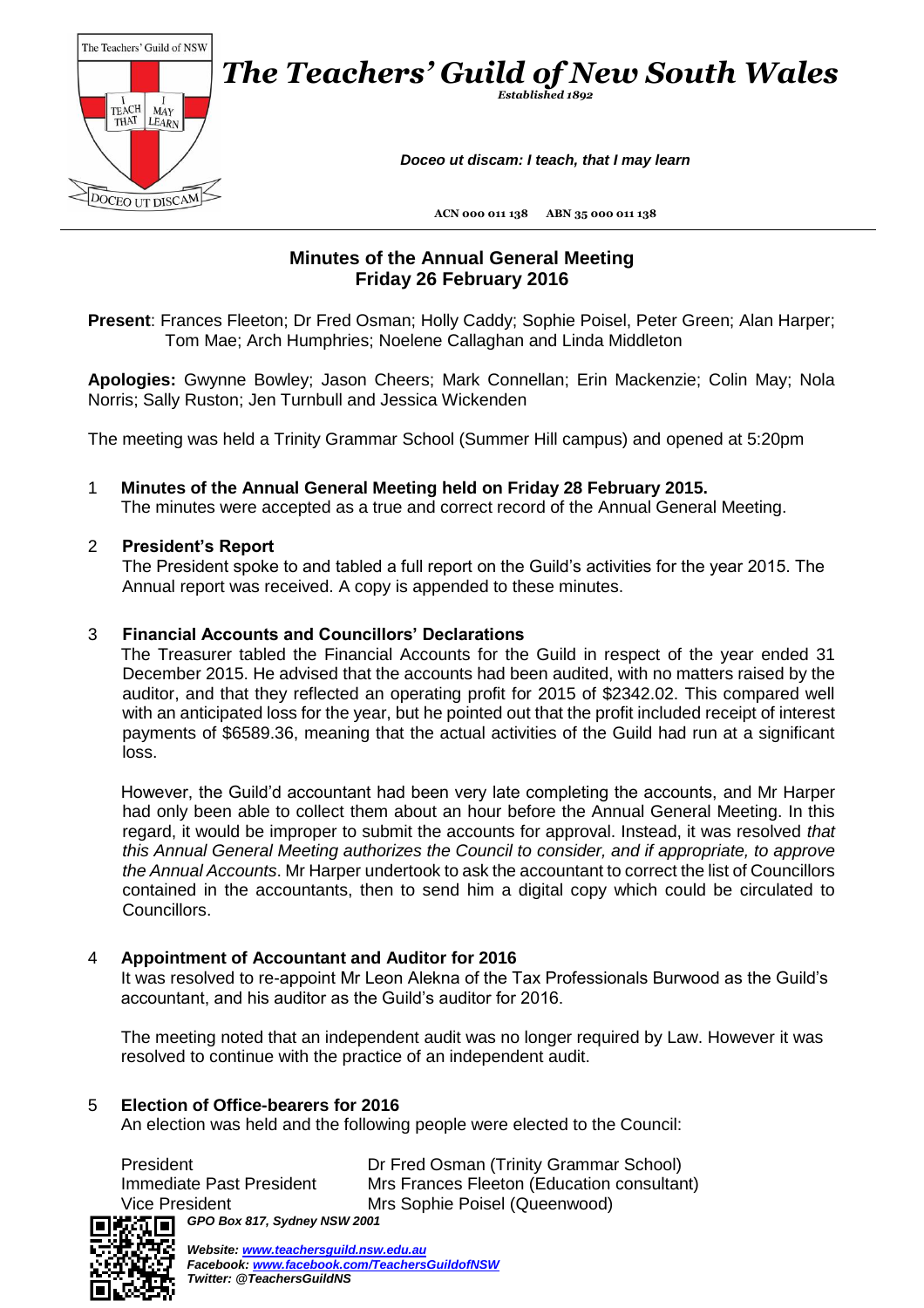

# **Minutes of the Annual General Meeting Friday 26 February 2016**

**Present**: Frances Fleeton; Dr Fred Osman; Holly Caddy; Sophie Poisel, Peter Green; Alan Harper; Tom Mae; Arch Humphries; Noelene Callaghan and Linda Middleton

**Apologies:** Gwynne Bowley; Jason Cheers; Mark Connellan; Erin Mackenzie; Colin May; Nola Norris; Sally Ruston; Jen Turnbull and Jessica Wickenden

The meeting was held a Trinity Grammar School (Summer Hill campus) and opened at 5:20pm

1 **Minutes of the Annual General Meeting held on Friday 28 February 2015.** The minutes were accepted as a true and correct record of the Annual General Meeting.

#### 2 **President's Report**

The President spoke to and tabled a full report on the Guild's activities for the year 2015. The Annual report was received. A copy is appended to these minutes.

#### 3 **Financial Accounts and Councillors' Declarations**

The Treasurer tabled the Financial Accounts for the Guild in respect of the year ended 31 December 2015. He advised that the accounts had been audited, with no matters raised by the auditor, and that they reflected an operating profit for 2015 of \$2342.02. This compared well with an anticipated loss for the year, but he pointed out that the profit included receipt of interest payments of \$6589.36, meaning that the actual activities of the Guild had run at a significant loss.

However, the Guild'd accountant had been very late completing the accounts, and Mr Harper had only been able to collect them about an hour before the Annual General Meeting. In this regard, it would be improper to submit the accounts for approval. Instead, it was resolved *that this Annual General Meeting authorizes the Council to consider, and if appropriate, to approve the Annual Accounts*. Mr Harper undertook to ask the accountant to correct the list of Councillors contained in the accountants, then to send him a digital copy which could be circulated to Councillors.

#### 4 **Appointment of Accountant and Auditor for 2016**

It was resolved to re-appoint Mr Leon Alekna of the Tax Professionals Burwood as the Guild's accountant, and his auditor as the Guild's auditor for 2016.

The meeting noted that an independent audit was no longer required by Law. However it was resolved to continue with the practice of an independent audit.

#### 5 **Election of Office-bearers for 2016**

An election was held and the following people were elected to the Council:

| President                                                             | Dr Fred Osman (Trinity Grammar School)     |
|-----------------------------------------------------------------------|--------------------------------------------|
| Immediate Past President                                              | Mrs Frances Fleeton (Education consultant) |
| Vice President                                                        | Mrs Sophie Poisel (Queenwood)              |
| $\mathbf{H}$ : $\mathbf{F}$ $\mathbf{F}$ GPO Box 817, Sydney NSW 2001 |                                            |



*Website: [www.teachersguild.nsw.edu.au](http://www.teachersguild.nsw.edu.au/) Facebook[: www.facebook.com/TeachersGuildofNSW](http://www.facebook.com/TeachersGuildofNSW) Twitter: @TeachersGuildNS*